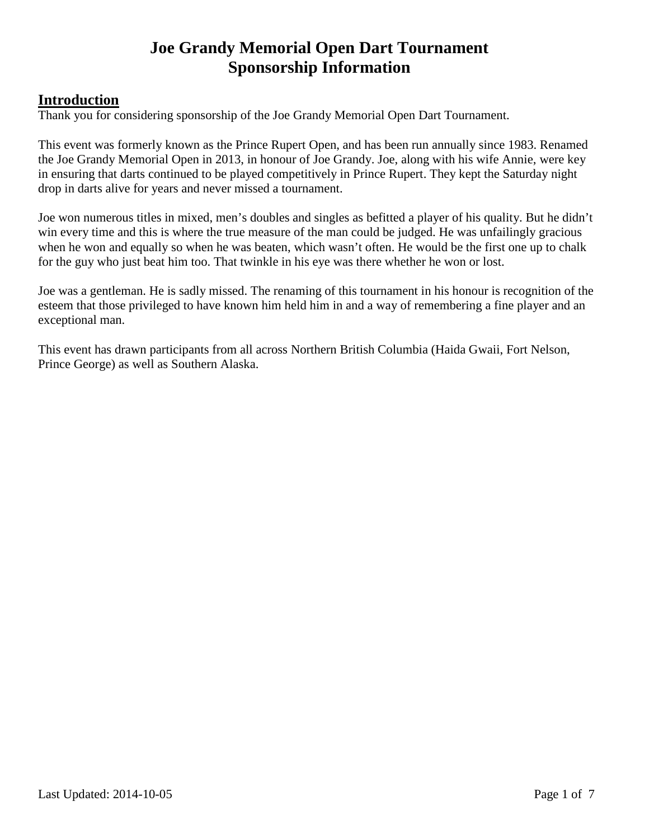## **Introduction**

Thank you for considering sponsorship of the Joe Grandy Memorial Open Dart Tournament.

This event was formerly known as the Prince Rupert Open, and has been run annually since 1983. Renamed the Joe Grandy Memorial Open in 2013, in honour of Joe Grandy. Joe, along with his wife Annie, were key in ensuring that darts continued to be played competitively in Prince Rupert. They kept the Saturday night drop in darts alive for years and never missed a tournament.

Joe won numerous titles in mixed, men's doubles and singles as befitted a player of his quality. But he didn't win every time and this is where the true measure of the man could be judged. He was unfailingly gracious when he won and equally so when he was beaten, which wasn't often. He would be the first one up to chalk for the guy who just beat him too. That twinkle in his eye was there whether he won or lost.

Joe was a gentleman. He is sadly missed. The renaming of this tournament in his honour is recognition of the esteem that those privileged to have known him held him in and a way of remembering a fine player and an exceptional man.

This event has drawn participants from all across Northern British Columbia (Haida Gwaii, Fort Nelson, Prince George) as well as Southern Alaska.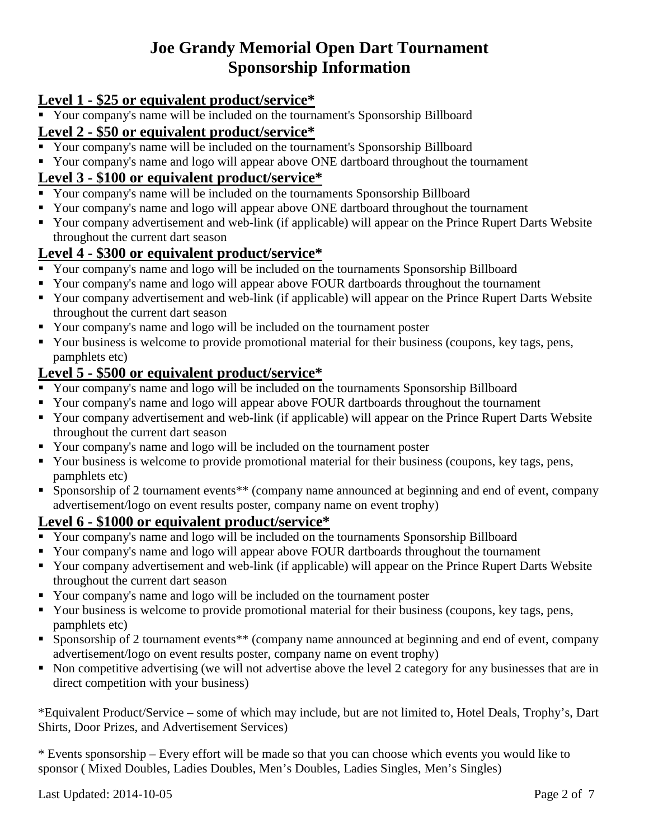## **Level 1 - \$25 or equivalent product/service\***

Your company's name will be included on the tournament's Sponsorship Billboard

## **Level 2 - \$50 or equivalent product/service\***

- Your company's name will be included on the tournament's Sponsorship Billboard
- Your company's name and logo will appear above ONE dartboard throughout the tournament

## **Level 3 - \$100 or equivalent product/service\***

- Your company's name will be included on the tournaments Sponsorship Billboard
- Your company's name and logo will appear above ONE dartboard throughout the tournament
- Your company advertisement and web-link (if applicable) will appear on the Prince Rupert Darts Website throughout the current dart season

## **Level 4 - \$300 or equivalent product/service\***

- Your company's name and logo will be included on the tournaments Sponsorship Billboard
- Your company's name and logo will appear above FOUR dartboards throughout the tournament
- Your company advertisement and web-link (if applicable) will appear on the Prince Rupert Darts Website throughout the current dart season
- Your company's name and logo will be included on the tournament poster
- Your business is welcome to provide promotional material for their business (coupons, key tags, pens, pamphlets etc)

## **Level 5 - \$500 or equivalent product/service\***

- Your company's name and logo will be included on the tournaments Sponsorship Billboard
- Your company's name and logo will appear above FOUR dartboards throughout the tournament
- Your company advertisement and web-link (if applicable) will appear on the Prince Rupert Darts Website throughout the current dart season
- Your company's name and logo will be included on the tournament poster
- Your business is welcome to provide promotional material for their business (coupons, key tags, pens, pamphlets etc)
- **Sponsorship of 2 tournament events\*\*** (company name announced at beginning and end of event, company advertisement/logo on event results poster, company name on event trophy)

#### **Level 6 - \$1000 or equivalent product/service\***

- Your company's name and logo will be included on the tournaments Sponsorship Billboard
- Your company's name and logo will appear above FOUR dartboards throughout the tournament
- Your company advertisement and web-link (if applicable) will appear on the Prince Rupert Darts Website throughout the current dart season
- Your company's name and logo will be included on the tournament poster
- Your business is welcome to provide promotional material for their business (coupons, key tags, pens, pamphlets etc)
- Sponsorship of 2 tournament events\*\* (company name announced at beginning and end of event, company advertisement/logo on event results poster, company name on event trophy)
- Non competitive advertising (we will not advertise above the level 2 category for any businesses that are in direct competition with your business)

\*Equivalent Product/Service – some of which may include, but are not limited to, Hotel Deals, Trophy's, Dart Shirts, Door Prizes, and Advertisement Services)

\* Events sponsorship – Every effort will be made so that you can choose which events you would like to sponsor ( Mixed Doubles, Ladies Doubles, Men's Doubles, Ladies Singles, Men's Singles)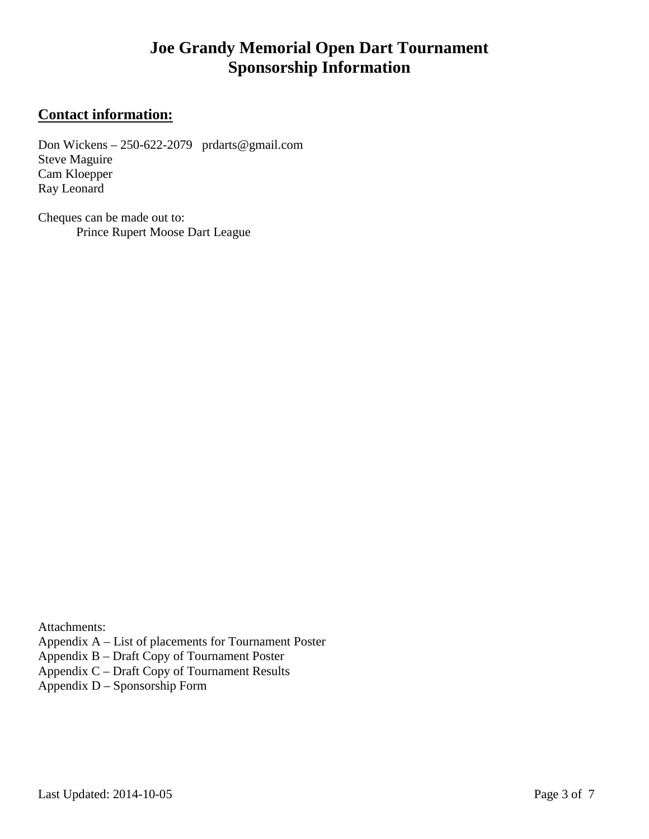## **Contact information:**

Don Wickens – 250-622-2079 prdarts@gmail.com Steve Maguire Cam Kloepper Ray Leonard

Cheques can be made out to: Prince Rupert Moose Dart League

Attachments:

Appendix A – List of placements for Tournament Poster

Appendix B – Draft Copy of Tournament Poster

Appendix C – Draft Copy of Tournament Results

Appendix  $D -$  Sponsorship Form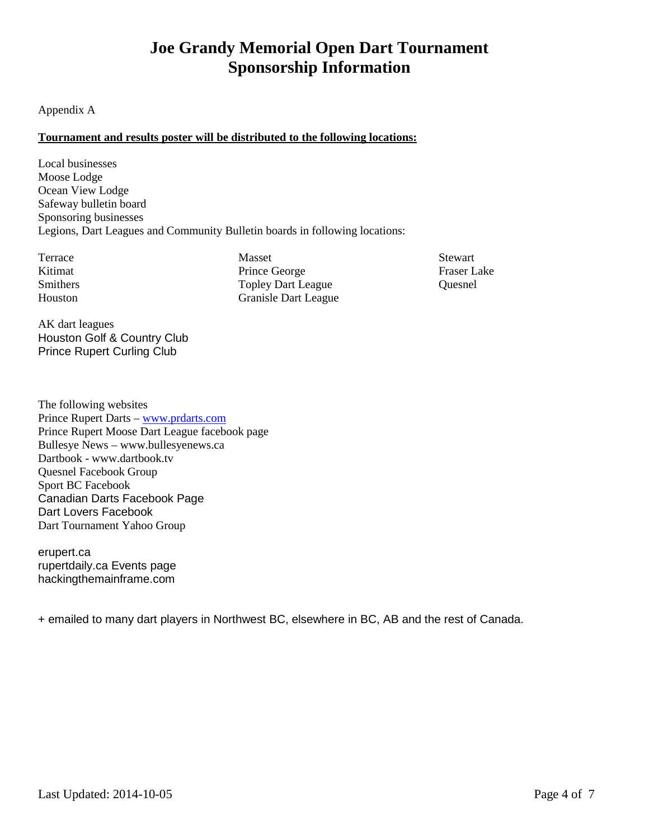#### Appendix A

#### **Tournament and results poster will be distributed to the following locations:**

Local businesses Moose Lodge Ocean View Lodge Safeway bulletin board Sponsoring businesses Legions, Dart Leagues and Community Bulletin boards in following locations:

Terrace Kitimat Smithers Houston

Masset Prince George Topley Dart League Granisle Dart League **Stewart** Fraser Lake Quesnel

AK dart leagues Houston Golf & Country Club Prince Rupert Curling Club

The following websites Prince Rupert Darts – www.prdarts.com Prince Rupert Moose Dart League facebook page Bullesye News – www.bullesyenews.ca Dartbook - www.dartbook.tv Quesnel Facebook Group Sport BC Facebook Canadian Darts Facebook Page Dart Lovers Facebook Dart Tournament Yahoo Group

erupert.ca rupertdaily.ca Events page hackingthemainframe.com

+ emailed to many dart players in Northwest BC, elsewhere in BC, AB and the rest of Canada.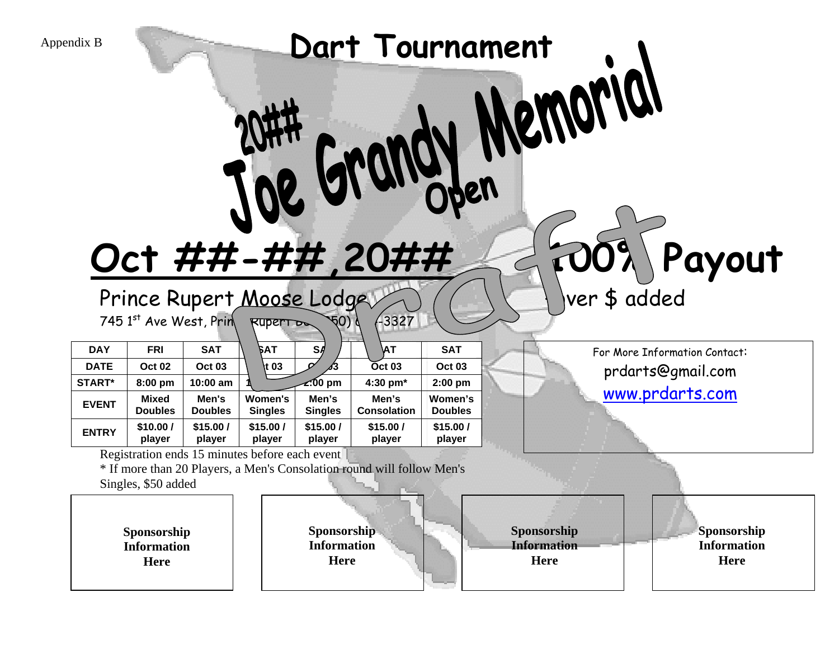| Dart Tournament<br>Appendix B<br><b>VEWOLICI</b><br><b>NOTER</b><br>Payout<br>Oct ##-##,20##<br>ver \$ added<br>Prince Rupert Moose Lodge<br>745 1st Ave West, Prin<br>$-3327$<br>$\sqrt[4]{0}$<br>Ruper <sub>T</sub> <sub>D</sub> |                                                                                                                    |                         |                                  |                                                                                                                            |                             |                           |                                           |                                                  |
|------------------------------------------------------------------------------------------------------------------------------------------------------------------------------------------------------------------------------------|--------------------------------------------------------------------------------------------------------------------|-------------------------|----------------------------------|----------------------------------------------------------------------------------------------------------------------------|-----------------------------|---------------------------|-------------------------------------------|--------------------------------------------------|
| <b>DAY</b>                                                                                                                                                                                                                         | <b>FRI</b>                                                                                                         | <b>SAT</b>              | <b>FAT</b>                       | S <sub>h</sub>                                                                                                             | ΝT                          | <b>SAT</b>                |                                           | For More Information Contact:                    |
| <b>DATE</b>                                                                                                                                                                                                                        | <b>Oct 02</b>                                                                                                      | <b>Oct 03</b>           | t 03                             |                                                                                                                            | Oct 03                      | <b>Oct 03</b>             |                                           | prdarts@gmail.com                                |
| START*                                                                                                                                                                                                                             | 8:00 pm                                                                                                            | 10:00 am                |                                  | <b>z:00 pm</b>                                                                                                             | 4:30 pm*                    | $2:00$ pm                 |                                           |                                                  |
| <b>EVENT</b>                                                                                                                                                                                                                       | <b>Mixed</b><br><b>Doubles</b>                                                                                     | Men's<br><b>Doubles</b> | <b>Women's</b><br><b>Singles</b> | Men's<br><b>Singles</b>                                                                                                    | Men's<br><b>Consolation</b> | Women's<br><b>Doubles</b> |                                           | www.prdarts.com                                  |
| <b>ENTRY</b>                                                                                                                                                                                                                       | \$10.00/<br>player                                                                                                 | \$15.00/<br>player      | \$15.00/<br>player               | \$15.00/<br>player                                                                                                         | \$15.00/<br>player          | \$15.00/<br>player        |                                           |                                                  |
|                                                                                                                                                                                                                                    | Registration ends 15 minutes before each event<br>Singles, \$50 added<br>Sponsorship<br><b>Information</b><br>Here |                         |                                  | * If more than 20 Players, a Men's Consolation round will follow Men's<br>Sponsorship<br><b>Information</b><br><b>Here</b> |                             |                           | Sponsorship<br><b>Information</b><br>Here | Sponsorship<br><b>Information</b><br><b>Here</b> |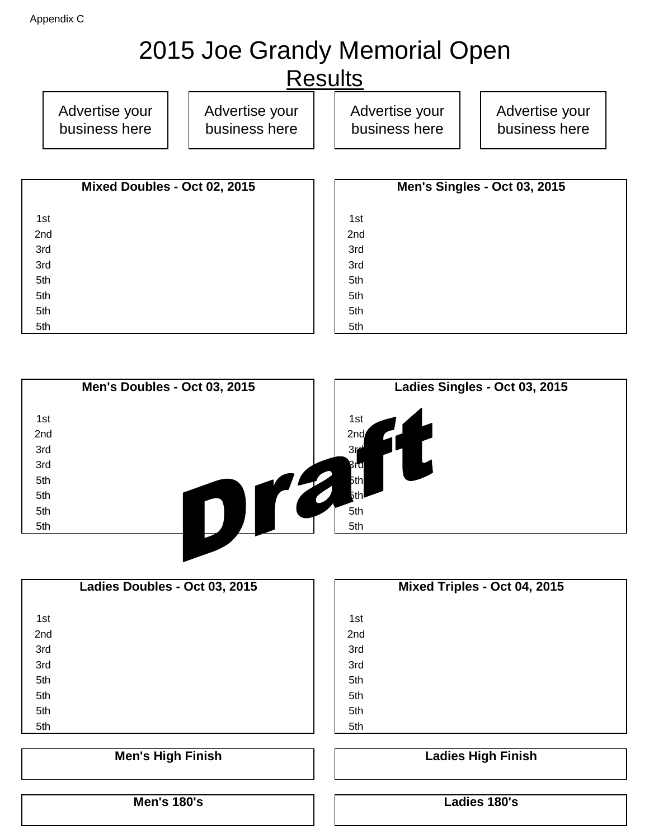# 2015 Joe Grandy Memorial Open

## **Results**

Advertise your business here Advertise your business here Advertise your business here Advertise your business here

| Mixed Doubles - Oct 02, 2015 | Men's Singles - Oct 03, 2015 |  |
|------------------------------|------------------------------|--|
| 1st                          | 1st                          |  |
| 2nd                          | 2nd                          |  |
| 3rd                          | 3rd                          |  |
| 3rd                          | 3rd                          |  |
| 5th                          | 5th                          |  |
| 5th                          | 5th                          |  |
| 5th                          | 5th                          |  |
| 5th                          | 5th                          |  |

|     | Men's Doubles - Oct 03, 2015 | Ladies Singles - Oct 03, 2015 |
|-----|------------------------------|-------------------------------|
| 1st |                              | 1st                           |
| 2nd |                              | 2 <sub>nd</sub>               |
| 3rd |                              | 3 <sub>0</sub>                |
| 3rd |                              | Brd                           |
| 5th |                              | 5th                           |
| 5th |                              | 5th∙                          |
| 5th |                              | 5th                           |
| 5th |                              | 5th                           |
|     |                              |                               |

| Ladies Doubles - Oct 03, 2015 | Mixed Triples - Oct 04, 2015 |
|-------------------------------|------------------------------|
| 1st                           | 1st                          |
| 2nd                           | 2nd                          |
| 3rd                           | 3rd                          |
| 3rd                           | 3rd                          |
| 5th                           | 5th                          |
| 5th                           | 5th                          |
| 5th                           | 5th                          |
| 5th                           | 5th                          |
|                               |                              |
| <b>Men's High Finish</b>      | <b>Ladies High Finish</b>    |
|                               |                              |

**Men's 180's Ladies 180's**